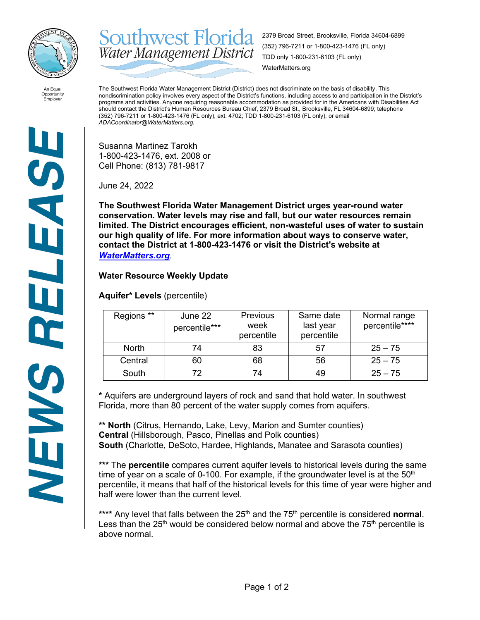

**Southwest Florida** 2379 Broad Street, Brooksville, Florida 34604-6899 (352) 796-7211 or 1-800-423-1476 (FL only) Water Management District TDD only 1-800-231-6103 (FL only) WaterMatters.org

An Equal Opportunity Employer

The Southwest Florida Water Management District (District) does not discriminate on the basis of disability. This nondiscrimination policy involves every aspect of the District's functions, including access to and participation in the District's programs and activities. Anyone requiring reasonable accommodation as provided for in the Americans with Disabilities Act should contact the District's Human Resources Bureau Chief, 2379 Broad St., Brooksville, FL 34604-6899; telephone (352) 796-7211 or 1-800-423-1476 (FL only), ext. 4702; TDD 1-800-231-6103 (FL only); or email *ADACoordinator@WaterMatters.org.*

Susanna Martinez Tarokh 1-800-423-1476, ext. 2008 or Cell Phone: (813) 781-9817

June 24, 2022

**The Southwest Florida Water Management District urges year-round water conservation. Water levels may rise and fall, but our water resources remain limited. The District encourages efficient, non-wasteful uses of water to sustain our high quality of life. For more information about ways to conserve water, contact the District at 1-800-423-1476 or visit the District's website at**  *[WaterMatters.org](http://watermatters.org/)*.

## **Water Resource Weekly Update**

**Aquifer\* Levels** (percentile)

| Regions **   | June 22<br>percentile*** | <b>Previous</b><br>week<br>percentile | Same date<br>last year<br>percentile | Normal range<br>percentile**** |
|--------------|--------------------------|---------------------------------------|--------------------------------------|--------------------------------|
| <b>North</b> | 74                       | 83                                    | 57                                   | $25 - 75$                      |
| Central      | 60                       | 68                                    | 56                                   | $25 - 75$                      |
| South        | 72                       | 74                                    | 49                                   | $25 - 75$                      |

**\*** Aquifers are underground layers of rock and sand that hold water. In southwest Florida, more than 80 percent of the water supply comes from aquifers.

**\*\* North** (Citrus, Hernando, Lake, Levy, Marion and Sumter counties) **Central** (Hillsborough, Pasco, Pinellas and Polk counties) **South** (Charlotte, DeSoto, Hardee, Highlands, Manatee and Sarasota counties)

**\*\*\*** The **percentile** compares current aquifer levels to historical levels during the same time of year on a scale of 0-100. For example, if the groundwater level is at the  $50<sup>th</sup>$ percentile, it means that half of the historical levels for this time of year were higher and half were lower than the current level.

\*\*\*\* Any level that falls between the 25<sup>th</sup> and the 75<sup>th</sup> percentile is considered **normal**. Less than the  $25<sup>th</sup>$  would be considered below normal and above the  $75<sup>th</sup>$  percentile is above normal.